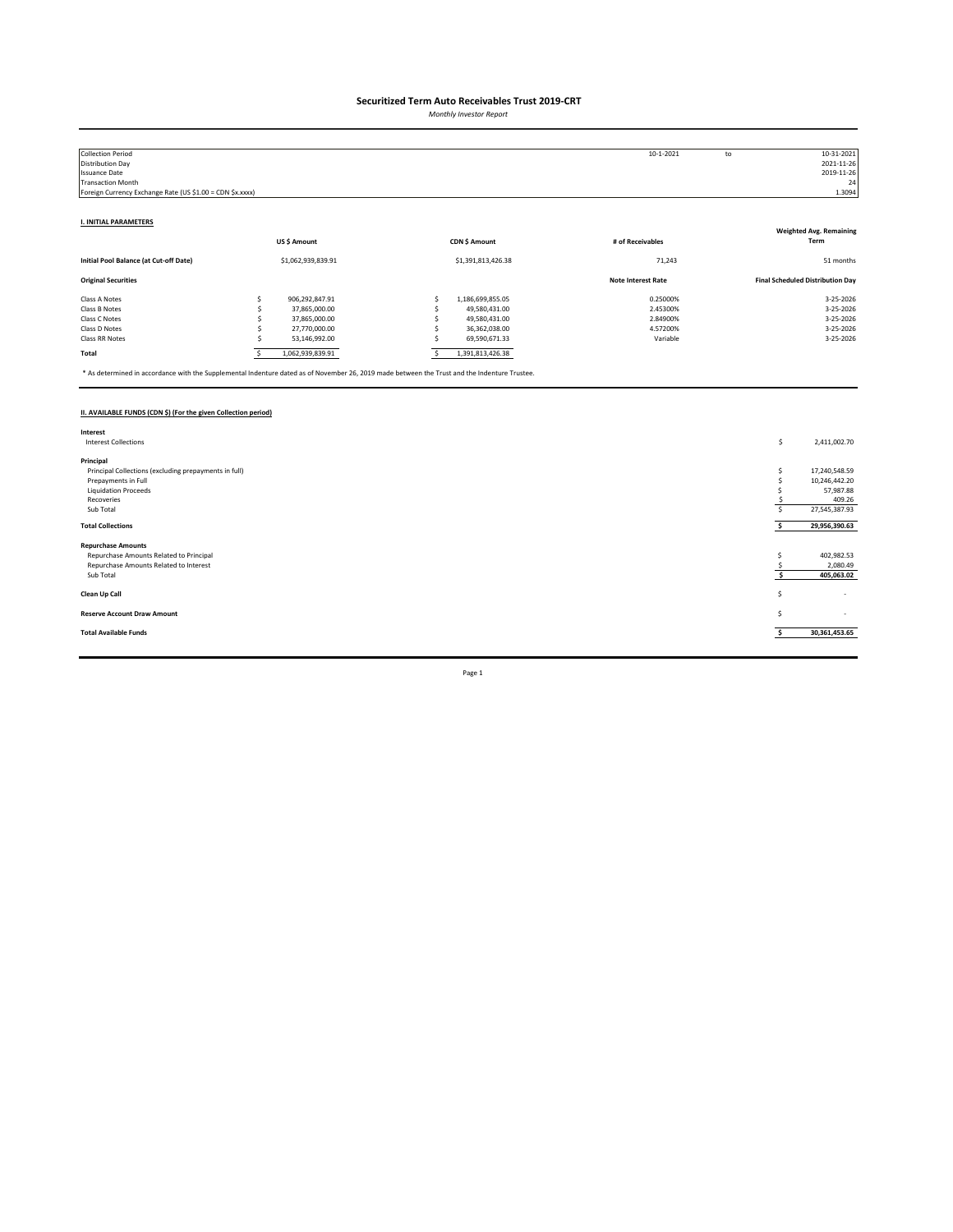*Monthly Investor Report*

| <b>Collection Period</b>                                  |                    |  |                    | 10-1-2021                 | to | 10-31-2021                              |
|-----------------------------------------------------------|--------------------|--|--------------------|---------------------------|----|-----------------------------------------|
| Distribution Day                                          |                    |  |                    |                           |    | 2021-11-26                              |
| <b>Issuance Date</b>                                      |                    |  |                    |                           |    | 2019-11-26                              |
| <b>Transaction Month</b>                                  |                    |  |                    |                           |    | 24                                      |
| Foreign Currency Exchange Rate (US \$1.00 = CDN \$x.xxxx) |                    |  |                    |                           |    | 1.3094                                  |
|                                                           |                    |  |                    |                           |    |                                         |
| <b>I. INITIAL PARAMETERS</b>                              |                    |  |                    |                           |    |                                         |
|                                                           |                    |  |                    |                           |    | <b>Weighted Avg. Remaining</b>          |
|                                                           | US\$ Amount        |  | CDN \$ Amount      | # of Receivables          |    | Term                                    |
| Initial Pool Balance (at Cut-off Date)                    | \$1,062,939,839.91 |  | \$1,391,813,426.38 | 71,243                    |    | 51 months                               |
| <b>Original Securities</b>                                |                    |  |                    | <b>Note Interest Rate</b> |    | <b>Final Scheduled Distribution Day</b> |
| Class A Notes                                             | 906,292,847.91     |  | 1,186,699,855.05   | 0.25000%                  |    | 3-25-2026                               |
| Class B Notes                                             | 37,865,000.00      |  | 49,580,431.00      | 2.45300%                  |    | 3-25-2026                               |
| Class C Notes                                             | 37,865,000.00      |  | 49,580,431.00      | 2.84900%                  |    | 3-25-2026                               |
| Class D Notes                                             | 27,770,000.00      |  | 36,362,038.00      | 4.57200%                  |    | 3-25-2026                               |
| Class RR Notes                                            | 53,146,992.00      |  | 69,590,671.33      | Variable                  |    | 3-25-2026                               |
| Total                                                     | 1,062,939,839.91   |  | 1,391,813,426.38   |                           |    |                                         |

\* As determined in accordance with the Supplemental Indenture dated as of November 26, 2019 made between the Trust and the Indenture Trustee.

### **II. AVAILABLE FUNDS (CDN \$) (For the given Collection period)**

| Interest                                              |    |                          |
|-------------------------------------------------------|----|--------------------------|
| <b>Interest Collections</b>                           | \$ | 2,411,002.70             |
|                                                       |    |                          |
| Principal                                             |    |                          |
| Principal Collections (excluding prepayments in full) |    | 17,240,548.59            |
| Prepayments in Full                                   |    | 10,246,442.20            |
| <b>Liquidation Proceeds</b>                           |    | 57,987.88                |
| Recoveries                                            |    | 409.26                   |
| Sub Total                                             |    | 27,545,387.93            |
| <b>Total Collections</b>                              |    | 29,956,390.63            |
|                                                       |    |                          |
| <b>Repurchase Amounts</b>                             |    |                          |
| Repurchase Amounts Related to Principal               |    | 402,982.53               |
| Repurchase Amounts Related to Interest                |    | 2,080.49                 |
| Sub Total                                             |    | 405,063.02               |
|                                                       |    |                          |
| Clean Up Call                                         | s  | $\overline{\phantom{a}}$ |
|                                                       |    |                          |
| <b>Reserve Account Draw Amount</b>                    | S  | $\sim$                   |
|                                                       |    |                          |
| <b>Total Available Funds</b>                          |    | 30,361,453.65            |
|                                                       |    |                          |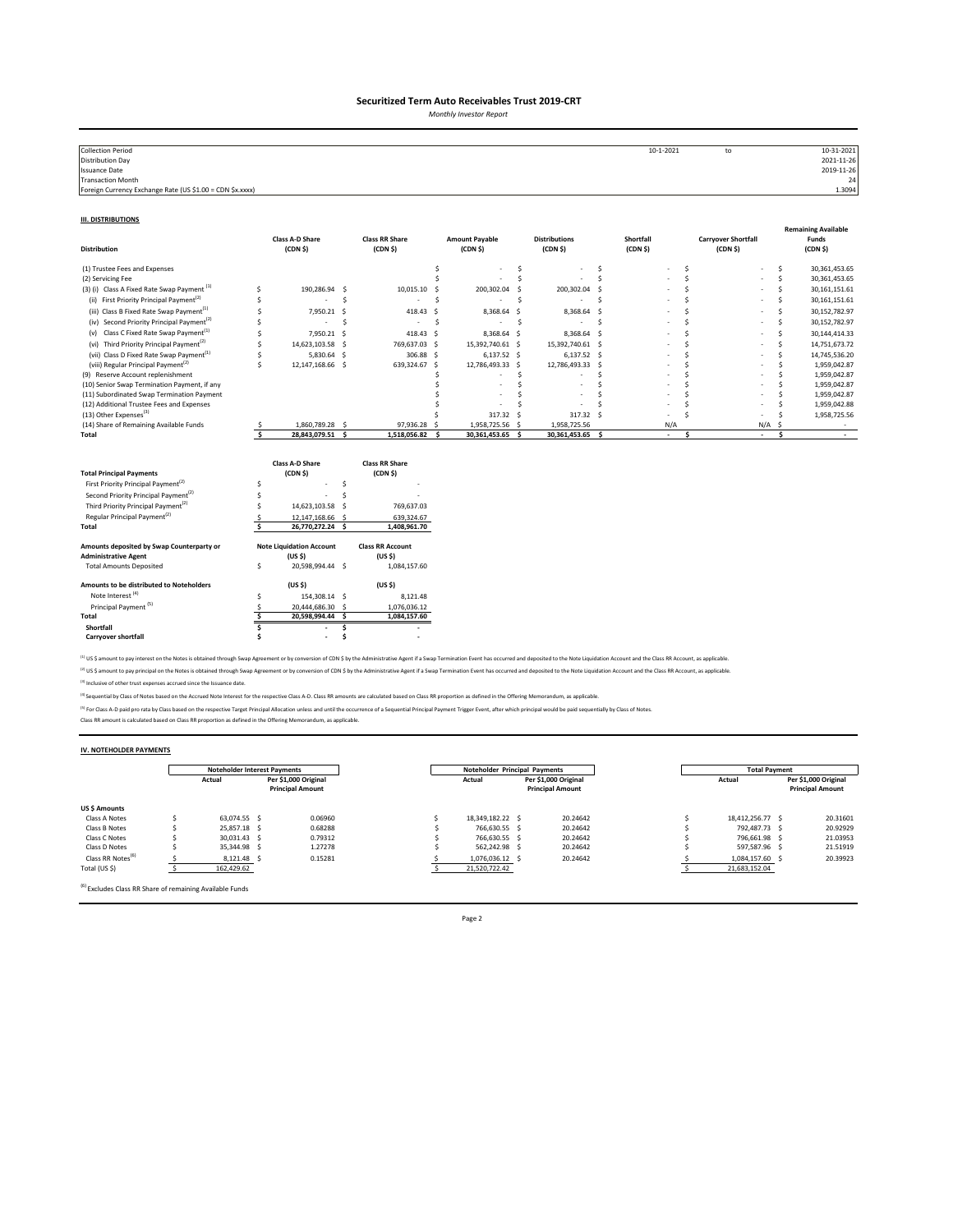*Monthly Investor Report*

| <b>Collection Period</b>                                  | 10-1-2021 | to | 10-31-2021 |
|-----------------------------------------------------------|-----------|----|------------|
| <b>Distribution Day</b>                                   |           |    | 2021-11-26 |
| Issuance Date                                             |           |    | 2019-11-26 |
| <b>Transaction Month</b>                                  |           |    | 24         |
| Foreign Currency Exchange Rate (US \$1.00 = CDN \$x.xxxx) |           |    | 1.3094     |
|                                                           |           |    |            |

#### **III. DISTRIBUTIONS**

| <b>Distribution</b>                                                      |                         | <b>Class A-D Share</b><br>(CDN <sub>5</sub> )         |     | <b>Class RR Share</b><br>(CDN <sub>5</sub> )  |     | <b>Amount Payable</b><br>(CDN <sub>5</sub> ) |     | <b>Distributions</b><br>(CDN S)  |     | Shortfall<br>(CDN <sub>5</sub> ) |              | <b>Carryover Shortfall</b><br>(CDN <sub>5</sub> ) |               |           | <b>Remaining Available</b><br>Funds<br>(CDN <sub>5</sub> ) |
|--------------------------------------------------------------------------|-------------------------|-------------------------------------------------------|-----|-----------------------------------------------|-----|----------------------------------------------|-----|----------------------------------|-----|----------------------------------|--------------|---------------------------------------------------|---------------|-----------|------------------------------------------------------------|
| (1) Trustee Fees and Expenses                                            |                         |                                                       |     |                                               | Ś   |                                              | \$. |                                  | \$. |                                  | \$           |                                                   |               | \$        | 30,361,453.65                                              |
| (2) Servicing Fee                                                        |                         |                                                       |     |                                               |     |                                              | Ś   |                                  | Ś   |                                  | <sup>s</sup> |                                                   |               | Ś         | 30,361,453.65                                              |
| (3) (i) Class A Fixed Rate Swap Payment <sup>(1)</sup>                   | Ś                       | 190.286.94 \$                                         |     | 10,015.10                                     | - 5 | 200,302.04                                   | -Ś  | 200,302.04                       | - S |                                  | Ś            |                                                   |               | Ś         | 30, 161, 151.61                                            |
| First Priority Principal Payment <sup>(2)</sup><br>(ii)                  |                         |                                                       | Ś   |                                               | Ś   |                                              | .s  |                                  | Š.  |                                  |              |                                                   |               | Ś         | 30, 161, 151.61                                            |
| (iii) Class B Fixed Rate Swap Payment <sup>(1)</sup>                     |                         | 7.950.21                                              | -S  | 418.43                                        | s.  | 8,368.64 \$                                  |     | 8,368.64 \$                      |     |                                  |              |                                                   |               | Š.        | 30,152,782.97                                              |
| (iv) Second Priority Principal Payment <sup>(2)</sup>                    |                         | $\overline{\phantom{a}}$                              | Ś   | ٠                                             | Ś   | $\sim$                                       | S.  | $\overline{\phantom{a}}$         | .s  |                                  |              |                                                   |               | Ś         | 30,152,782.97                                              |
| Class C Fixed Rate Swap Payment <sup>(1)</sup><br>(v)                    | S                       | 7,950.21                                              | - Ś | 418.43 \$                                     |     | 8,368.64 \$                                  |     | 8,368.64 \$                      |     |                                  |              |                                                   |               | Š.        | 30,144,414.33                                              |
| (vi) Third Priority Principal Payment <sup>(2)</sup>                     | Ś                       | 14,623,103.58                                         | - S | 769,637.03 \$                                 |     | 15,392,740.61 \$                             |     | 15,392,740.61 \$                 |     |                                  |              |                                                   |               | Š.        | 14,751,673.72                                              |
| (vii) Class D Fixed Rate Swap Payment <sup>(1)</sup>                     | Ś                       | 5,830.64 \$                                           |     | 306.88 \$                                     |     | $6,137.52$ \$                                |     | $6,137.52$ \$                    |     |                                  |              |                                                   |               | Ś         | 14,745,536.20                                              |
| (viii) Regular Principal Payment <sup>(2)</sup>                          | Ś                       | 12,147,168.66 \$                                      |     | 639,324.67 \$                                 |     | 12,786,493.33 \$                             |     | 12,786,493.33 \$                 |     |                                  |              |                                                   |               | .s        | 1,959,042.87                                               |
| (9) Reserve Account replenishment                                        |                         |                                                       |     |                                               |     |                                              | Ś   |                                  |     |                                  | ¢            |                                                   |               | .s        | 1,959,042.87                                               |
| (10) Senior Swap Termination Payment, if any                             |                         |                                                       |     |                                               |     |                                              | Ś   |                                  | Š.  |                                  |              |                                                   |               |           | 1,959,042.87                                               |
| (11) Subordinated Swap Termination Payment                               |                         |                                                       |     |                                               |     |                                              |     |                                  |     |                                  |              |                                                   |               |           | 1,959,042.87                                               |
| (12) Additional Trustee Fees and Expenses                                |                         |                                                       |     |                                               |     |                                              |     |                                  |     |                                  |              |                                                   |               |           | 1,959,042.88                                               |
| (13) Other Expenses <sup>(3)</sup>                                       |                         |                                                       |     |                                               |     | 317.32 \$                                    |     | 317.32 \$                        |     |                                  |              |                                                   |               |           | 1,958,725.56                                               |
| (14) Share of Remaining Available Funds<br>Total                         | $\overline{\mathbf{s}}$ | 1,860,789.28 \$<br>28,843,079.51 \$                   |     | 97,936.28 \$<br>1,518,056.82 \$               |     | 1,958,725.56 \$<br>30,361,453.65             | s.  | 1,958,725.56<br>30,361,453.65 \$ |     | N/A<br>$\sim$                    | \$.          |                                                   | N/A<br>$\sim$ | .S<br>\$. | $\sim$                                                     |
| <b>Total Principal Payments</b>                                          |                         | <b>Class A-D Share</b><br>(CDN <sub>5</sub> )         |     | <b>Class RR Share</b><br>(CDN <sub>5</sub> )  |     |                                              |     |                                  |     |                                  |              |                                                   |               |           |                                                            |
| First Priority Principal Payment <sup>(2)</sup>                          | Ś                       |                                                       | Š.  |                                               |     |                                              |     |                                  |     |                                  |              |                                                   |               |           |                                                            |
| Second Priority Principal Payment <sup>(2)</sup>                         |                         |                                                       | Ś   |                                               |     |                                              |     |                                  |     |                                  |              |                                                   |               |           |                                                            |
| Third Priority Principal Payment <sup>(2)</sup>                          |                         | 14,623,103.58                                         | -S  | 769,637.03                                    |     |                                              |     |                                  |     |                                  |              |                                                   |               |           |                                                            |
| Regular Principal Payment <sup>(2)</sup>                                 |                         | 12,147,168.66 \$                                      |     | 639,324.67                                    |     |                                              |     |                                  |     |                                  |              |                                                   |               |           |                                                            |
| Total                                                                    | Ś.                      | 26,770,272.24 \$                                      |     | 1,408,961.70                                  |     |                                              |     |                                  |     |                                  |              |                                                   |               |           |                                                            |
| Amounts deposited by Swap Counterparty or<br><b>Administrative Agent</b> |                         | <b>Note Liquidation Account</b><br>(US <sub>5</sub> ) |     | <b>Class RR Account</b><br>(US <sub>5</sub> ) |     |                                              |     |                                  |     |                                  |              |                                                   |               |           |                                                            |
| <b>Total Amounts Deposited</b>                                           | \$                      | 20,598,994.44 \$                                      |     | 1,084,157.60                                  |     |                                              |     |                                  |     |                                  |              |                                                   |               |           |                                                            |
| Amounts to be distributed to Noteholders                                 |                         | (US <sub>5</sub> )                                    |     | (US S)                                        |     |                                              |     |                                  |     |                                  |              |                                                   |               |           |                                                            |
| Note Interest <sup>(4)</sup>                                             | Ś                       | 154,308.14 \$                                         |     | 8,121.48                                      |     |                                              |     |                                  |     |                                  |              |                                                   |               |           |                                                            |
| Principal Payment <sup>(5)</sup>                                         | S                       | 20,444,686.30 \$                                      |     | 1,076,036.12                                  |     |                                              |     |                                  |     |                                  |              |                                                   |               |           |                                                            |
| Total                                                                    | Š.                      | 20,598,994.44 \$                                      |     | 1,084,157.60                                  |     |                                              |     |                                  |     |                                  |              |                                                   |               |           |                                                            |
| Shortfall                                                                |                         |                                                       | Ś   |                                               |     |                                              |     |                                  |     |                                  |              |                                                   |               |           |                                                            |
| <b>Carryover shortfall</b>                                               |                         | $\overline{\phantom{a}}$                              |     |                                               |     |                                              |     |                                  |     |                                  |              |                                                   |               |           |                                                            |

<sup>(1)</sup> US \$ amount to pay interest on the Notes is obtained through Swap Agreement or by conversion of CDN \$ by the Administrative Agent if a Swap Termination Event has occurred and deposited to the Note Liquidation Account <sup>(2)</sup> US \$ amount to pay principal on the Notes is obtained through Swap Agreement or by conversion of CDN \$ by the Administrative Agent if a Swap Termination Event has occurred and deposited to the Note Liquidation Accoun

(3) Inclusive of other trust expenses accrued since the Issuance date.

<sup>(4)</sup> Sequential by Class of Notes based on the Accrued Note Interest for the respective Class A-D. Class RR amounts are calculated based on Class RR proportion as defined in the Offering Memorandum, as applicable.

<sup>P)</sup> For Class A-D paid pro rata by Class based on the respective Target Principal Allocation unless and until the occurrence of a Sequential Principal Payment Trigger Event, after which principal would be paid sequentiall

#### **IV. NOTEHOLDER PAYMENTS**

|                               | <b>Noteholder Interest Payments</b> |                                                 |         | Noteholder Principal Payments |                                                           |  |          |  | <b>Total Payment</b> |  |                                                 |  |  |
|-------------------------------|-------------------------------------|-------------------------------------------------|---------|-------------------------------|-----------------------------------------------------------|--|----------|--|----------------------|--|-------------------------------------------------|--|--|
|                               | Actual                              | Per \$1,000 Original<br><b>Principal Amount</b> |         |                               | Per \$1,000 Original<br>Actual<br><b>Principal Amount</b> |  |          |  | Actual               |  | Per \$1,000 Original<br><b>Principal Amount</b> |  |  |
| US \$ Amounts                 |                                     |                                                 |         |                               |                                                           |  |          |  |                      |  |                                                 |  |  |
| Class A Notes                 | 63.074.55 S                         |                                                 | 0.06960 |                               | 18.349.182.22 \$                                          |  | 20.24642 |  | 18.412.256.77 \$     |  | 20.31601                                        |  |  |
| Class B Notes                 | 25.857.18 \$                        |                                                 | 0.68288 |                               | 766.630.55 \$                                             |  | 20.24642 |  | 792.487.73 \$        |  | 20.92929                                        |  |  |
| Class C Notes                 | 30.031.43 \$                        |                                                 | 0.79312 |                               | 766.630.55 \$                                             |  | 20.24642 |  | 796.661.98 \$        |  | 21.03953                                        |  |  |
| Class D Notes                 | 35.344.98 S                         |                                                 | 1.27278 |                               | 562.242.98 \$                                             |  | 20.24642 |  | 597.587.96 \$        |  | 21.51919                                        |  |  |
| Class RR Notes <sup>(6)</sup> | 8.121.48 \$                         |                                                 | 0.15281 |                               | 1.076.036.12 \$                                           |  | 20.24642 |  | 1.084.157.60 \$      |  | 20.39923                                        |  |  |
| Total (US \$)                 | 162,429.62                          |                                                 |         |                               | 21,520,722.42                                             |  |          |  | 21,683,152.04        |  |                                                 |  |  |

(6) Excludes Class RR Share of remaining Available Funds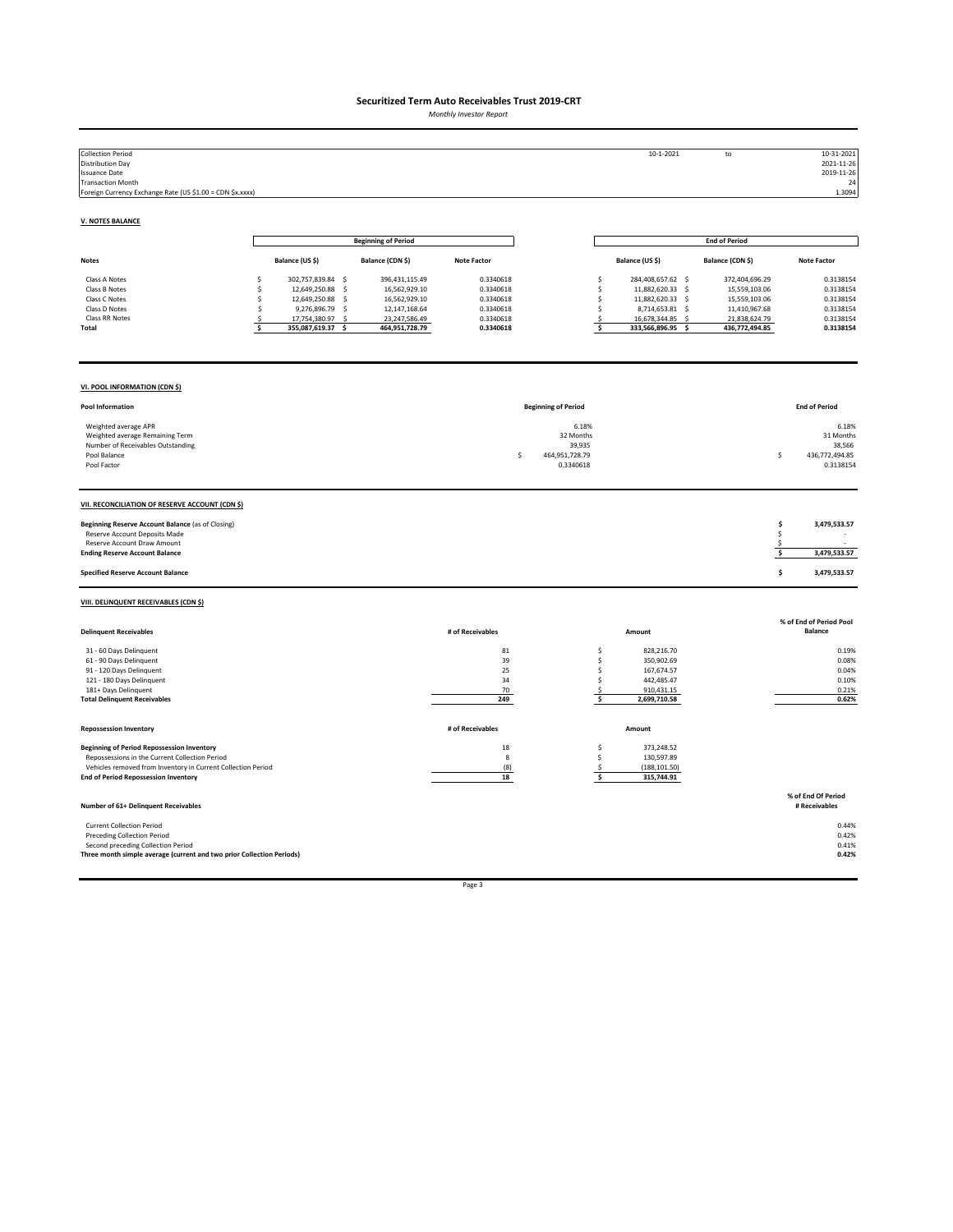*Monthly Investor Report*

| <b>Collection Period</b><br><b>Distribution Day</b><br><b>Issuance Date</b><br><b>Transaction Month</b><br>Foreign Currency Exchange Rate (US \$1.00 = CDN \$x.xxxx)                                               |                                                                                                                                                                                                 |                                                                                                      |                                                                            |                                                                   | 10-1-2021                                                                                                                                                 | to                                                                                                   | 10-31-2021<br>2021-11-26<br>2019-11-26<br>- 24<br>1.3094                   |
|--------------------------------------------------------------------------------------------------------------------------------------------------------------------------------------------------------------------|-------------------------------------------------------------------------------------------------------------------------------------------------------------------------------------------------|------------------------------------------------------------------------------------------------------|----------------------------------------------------------------------------|-------------------------------------------------------------------|-----------------------------------------------------------------------------------------------------------------------------------------------------------|------------------------------------------------------------------------------------------------------|----------------------------------------------------------------------------|
| <b>V. NOTES BALANCE</b>                                                                                                                                                                                            |                                                                                                                                                                                                 |                                                                                                      |                                                                            |                                                                   |                                                                                                                                                           |                                                                                                      |                                                                            |
|                                                                                                                                                                                                                    |                                                                                                                                                                                                 | <b>Beginning of Period</b>                                                                           |                                                                            |                                                                   |                                                                                                                                                           | <b>End of Period</b>                                                                                 |                                                                            |
| <b>Notes</b>                                                                                                                                                                                                       | Balance (US \$)                                                                                                                                                                                 | Balance (CDN \$)                                                                                     | <b>Note Factor</b>                                                         |                                                                   | Balance (US \$)                                                                                                                                           | Balance (CDN \$)                                                                                     | <b>Note Factor</b>                                                         |
| Class A Notes<br>Class B Notes<br>Class C Notes<br>Class D Notes<br>Class RR Notes<br>Total                                                                                                                        | \$<br>302,757,839.84 \$<br>12,649,250.88<br>$\sim$<br>s<br>12,649,250.88<br>$\mathsf{S}$<br>Ś<br>9,276,896.79<br>$\mathsf{S}$<br>Ŝ.<br>17,754,380.97<br>-\$<br>.s<br>355,087,619.37<br>\$<br>Ś. | 396,431,115.49<br>16,562,929.10<br>16,562,929.10<br>12,147,168.64<br>23,247,586.49<br>464,951,728.79 | 0.3340618<br>0.3340618<br>0.3340618<br>0.3340618<br>0.3340618<br>0.3340618 |                                                                   | \$<br>284,408,657.62 \$<br>11,882,620.33 \$<br>\$<br>\$<br>11,882,620.33 \$<br>\$<br>8,714,653.81 \$<br>16,678,344.85 \$<br>\$<br>\$<br>333,566,896.95 \$ | 372,404,696.29<br>15,559,103.06<br>15,559,103.06<br>11,410,967.68<br>21,838,624.79<br>436,772,494.85 | 0.3138154<br>0.3138154<br>0.3138154<br>0.3138154<br>0.3138154<br>0.3138154 |
| VI. POOL INFORMATION (CDN \$)                                                                                                                                                                                      |                                                                                                                                                                                                 |                                                                                                      |                                                                            |                                                                   |                                                                                                                                                           |                                                                                                      |                                                                            |
| Pool Information                                                                                                                                                                                                   |                                                                                                                                                                                                 |                                                                                                      |                                                                            | <b>Beginning of Period</b>                                        |                                                                                                                                                           |                                                                                                      | <b>End of Period</b>                                                       |
| Weighted average APR<br>Weighted average Remaining Term<br>Number of Receivables Outstanding<br>Pool Balance<br>Pool Factor                                                                                        |                                                                                                                                                                                                 |                                                                                                      |                                                                            | 6.18%<br>32 Months<br>39,935<br>\$<br>464,951,728.79<br>0.3340618 |                                                                                                                                                           |                                                                                                      | 6.18%<br>31 Months<br>38,566<br>\$<br>436,772,494.85<br>0.3138154          |
| VII. RECONCILIATION OF RESERVE ACCOUNT (CDN \$)                                                                                                                                                                    |                                                                                                                                                                                                 |                                                                                                      |                                                                            |                                                                   |                                                                                                                                                           |                                                                                                      |                                                                            |
| Beginning Reserve Account Balance (as of Closing)<br>Reserve Account Deposits Made<br>Reserve Account Draw Amount<br><b>Ending Reserve Account Balance</b>                                                         |                                                                                                                                                                                                 |                                                                                                      |                                                                            |                                                                   |                                                                                                                                                           |                                                                                                      | 3,479,533.57<br>\$<br>\$<br>\$<br>-\$<br>3,479,533.57                      |
| <b>Specified Reserve Account Balance</b>                                                                                                                                                                           |                                                                                                                                                                                                 |                                                                                                      |                                                                            |                                                                   |                                                                                                                                                           |                                                                                                      | \$<br>3,479,533.57                                                         |
| VIII. DELINQUENT RECEIVABLES (CDN \$)                                                                                                                                                                              |                                                                                                                                                                                                 |                                                                                                      |                                                                            |                                                                   |                                                                                                                                                           |                                                                                                      |                                                                            |
| <b>Delinquent Receivables</b>                                                                                                                                                                                      |                                                                                                                                                                                                 |                                                                                                      | # of Receivables                                                           |                                                                   | Amount                                                                                                                                                    |                                                                                                      | % of End of Period Pool<br><b>Balance</b>                                  |
| 31 - 60 Days Delinquent<br>61 - 90 Days Delinquent<br>91 - 120 Days Delinquent<br>121 - 180 Days Delinquent<br>181+ Days Delinquent<br><b>Total Delinquent Receivables</b>                                         |                                                                                                                                                                                                 |                                                                                                      | 81<br>39<br>25<br>34<br>70<br>249                                          |                                                                   | 828.216.70<br>\$<br>\$<br>350,902.69<br>\$<br>167,674.57<br>\$<br>442,485.47<br>910,431.15<br>\$<br>\$<br>2,699,710.58                                    |                                                                                                      | 0.19%<br>0.08%<br>0.04%<br>0.10%<br>0.21%<br>0.62%                         |
| <b>Repossession Inventory</b>                                                                                                                                                                                      |                                                                                                                                                                                                 |                                                                                                      | # of Receivables                                                           |                                                                   | Amount                                                                                                                                                    |                                                                                                      |                                                                            |
| <b>Beginning of Period Repossession Inventory</b><br>Repossessions in the Current Collection Period<br>Vehicles removed from Inventory in Current Collection Period<br><b>End of Period Repossession Inventory</b> |                                                                                                                                                                                                 |                                                                                                      | 18<br>$\mathbf{g}$<br>(8)<br>18                                            |                                                                   | \$<br>373,248.52<br>\$<br>130,597.89<br>\$<br>(188, 101.50)<br>\$<br>315,744.91                                                                           |                                                                                                      |                                                                            |
| Number of 61+ Delinquent Receivables                                                                                                                                                                               |                                                                                                                                                                                                 |                                                                                                      |                                                                            |                                                                   |                                                                                                                                                           |                                                                                                      | % of End Of Period<br># Receivables                                        |
| <b>Current Collection Period</b><br><b>Preceding Collection Period</b><br>Second preceding Collection Period<br>Three month simple average (current and two prior Collection Periods)                              |                                                                                                                                                                                                 |                                                                                                      |                                                                            |                                                                   |                                                                                                                                                           |                                                                                                      | 0.44%<br>0.42%<br>0.41%<br>0.42%                                           |